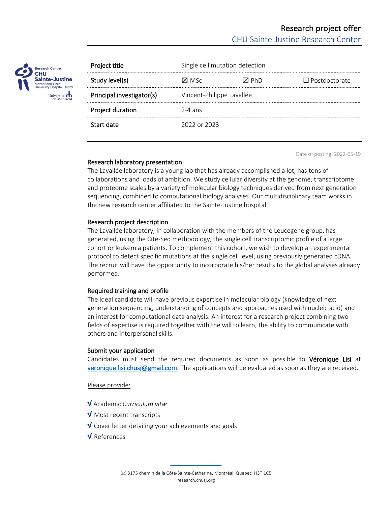

| Project title             | Single cell mutation detection |                 |                      |
|---------------------------|--------------------------------|-----------------|----------------------|
| Study level(s)            | $\times$ MSc                   | $\boxtimes$ PhD | $\Box$ Postdoctorate |
| Principal investigator(s) | Vincent-Philippe Lavallée      |                 |                      |
| Project duration          | $2-4$ ans                      |                 |                      |
| Start date                | 2022 or 2023                   |                 |                      |

Date of posting: 2022-05-19

## Research laboratory presentation

The Lavallée laboratory is a young lab that has already accomplished a lot, has tons of collaborations and loads of ambition. We study cellular diversity at the genome, transcriptome and proteome scales by a variety of molecular biology techniques derived from next generation sequencing, combined to computational biology analyses. Our multidisciplinary team works in the new research center affiliated to the Sainte-Justine hospital.

## Research project description

The Lavallée laboratory, in collaboration with the members of the Leucegene group, has generated, using the Cite-Seq methodology, the single cell transcriptomic profile of a large cohort or leukemia patients. To complement this cohort, we wish to develop an experimental protocol to detect specific mutations at the single cell level, using previously generated cDNA. The recruit will have the opportunity to incorporate his/her results to the global analyses already performed.

## Required training and profile

The ideal candidate will have previous expertise in molecular biology (knowledge of next generation sequencing, understanding of concepts and approaches used with nucleic acid) and an interest for computational data analysis. An interest for a research project combining two fields of expertise is required together with the will to learn, the ability to communicate with others and interpersonal skills.

# Submit your application

Candidates must send the required documents as soon as possible to Véronique Lisi at veronique.lisi.chusj@gmail.com. The applications will be evaluated as soon as they are received.

Please provide:

- √ Academic *Curriculum vitæ*
- √ Most recent transcripts
- √ Cover letter detailing your achievements and goals
- √ References